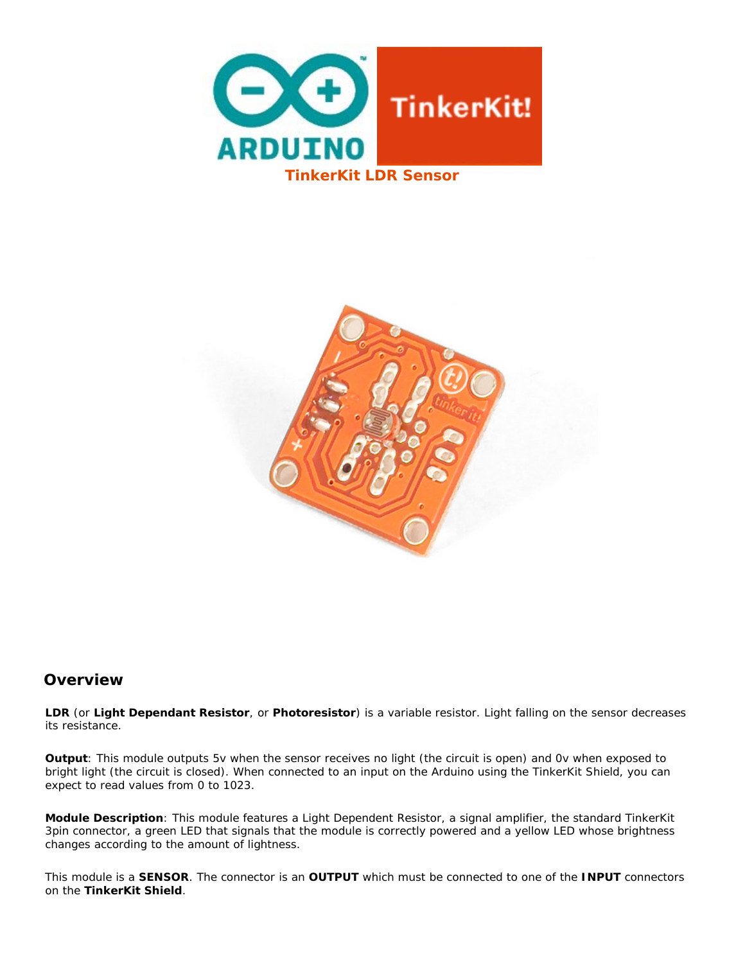



## **Overview**

**LDR** (or **Light Dependant Resistor**, or **Photoresistor**) is a variable resistor. Light falling on the sensor decreases its resistance.

**Output**: This module outputs 5v when the sensor receives no light (the circuit is open) and 0v when exposed to bright light (the circuit is closed). When connected to an input on the Arduino using the TinkerKit Shield, you can expect to read values from 0 to 1023.

**Module Description**: This module features a Light Dependent Resistor, a signal amplifier, the standard TinkerKit 3pin connector, a green LED that signals that the module is correctly powered and a yellow LED whose brightness changes according to the amount of lightness.

This module is a **SENSOR**. The connector is an **OUTPUT** which must be connected to one of the **INPUT** connectors on the **TinkerKit Shield**.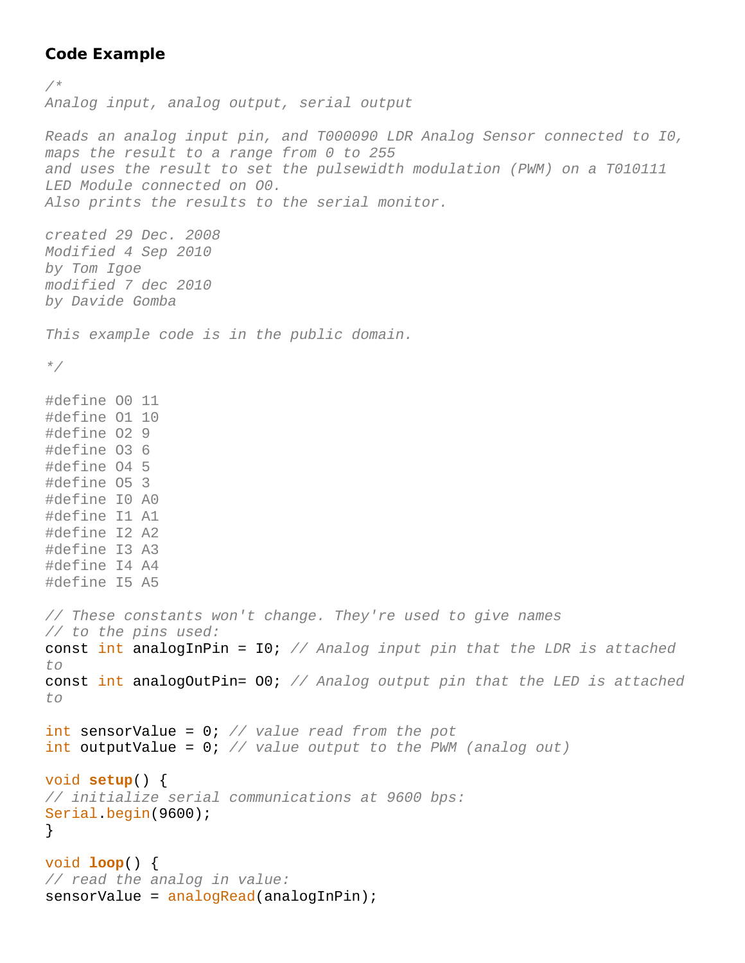## **Code Example**

*/\* Analog input, analog output, serial output Reads an analog input pin, and T000090 LDR Analog Sensor connected to I0, maps the result to a range from 0 to 255 and uses the result to set the pulsewidth modulation (PWM) on a T010111 LED Module connected on O0. Also prints the results to the serial monitor. created 29 Dec. 2008 Modified 4 Sep 2010 by Tom Igoe modified 7 dec 2010 by Davide Gomba This example code is in the public domain. \*/* #define O0 11 #define O1 10 #define O2 9 #define O3 6 #define O4 5 #define O5 3 #define I0 A0 #define I1 A1 #define I2 A2 #define I3 A3 #define I4 A4 #define I5 A5 *// These constants won't change. They're used to give names // to the pins used:* const int analogInPin = I0; *// Analog input pin that the LDR is attached to* const int analogOutPin= O0; *// Analog output pin that the LED is attached to* int sensorValue = 0; *// value read from the pot* int outputValue = 0; *// value output to the PWM (analog out)* void **setup**() { *// initialize serial communications at 9600 bps:* Serial.begin(9600); } void **loop**() { *// read the analog in value:* sensorValue = analogRead(analogInPin);